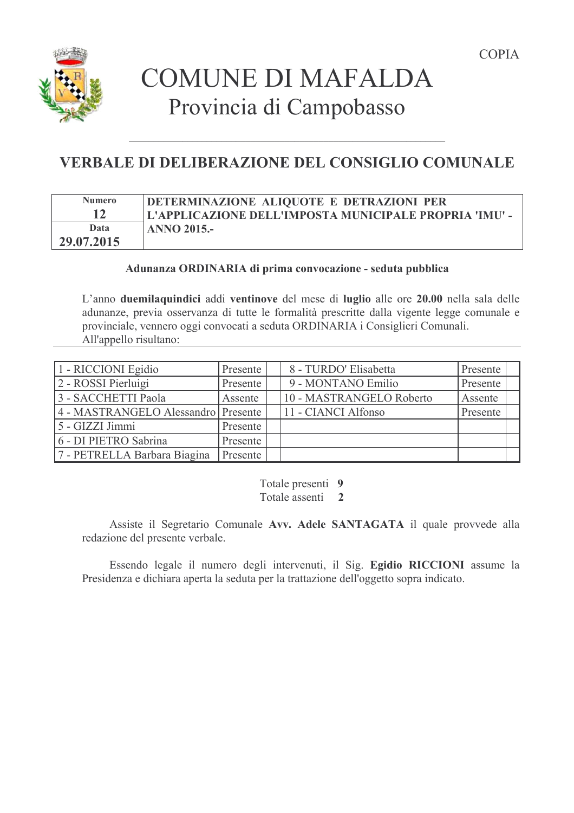

# **VERBALE DI DELIBERAZIONE DEL CONSIGLIO COMUNALE**

| <b>Numero</b> | DETERMINAZIONE ALIQUOTE E DETRAZIONI PER               |
|---------------|--------------------------------------------------------|
|               | L'APPLICAZIONE DELL'IMPOSTA MUNICIPALE PROPRIA 'IMU' - |
| Data          | <b>ANNO 2015.-</b>                                     |
| 29.07.2015    |                                                        |

## Adunanza ORDINARIA di prima convocazione - seduta pubblica

L'anno due milaquindici addi ventinove del mese di luglio alle ore 20.00 nella sala delle adunanze, previa osservanza di tutte le formalità prescritte dalla vigente legge comunale e provinciale, vennero oggi convocati a seduta ORDINARIA i Consiglieri Comunali. All'appello risultano:

| 1 - RICCIONI Egidio                 | Presente | 8 - TURDO' Elisabetta    | Presente |
|-------------------------------------|----------|--------------------------|----------|
| 2 - ROSSI Pierluigi                 | Presente | 9 - MONTANO Emilio       | Presente |
| 3 - SACCHETTI Paola                 | Assente  | 10 - MASTRANGELO Roberto | Assente  |
| 4 - MASTRANGELO Alessandro Presente |          | 11 - CIANCI Alfonso      | Presente |
| $5 - GIZZI Jimmi$                   | Presente |                          |          |
| 6 - DI PIETRO Sabrina               | Presente |                          |          |
| 7 - PETRELLA Barbara Biagina        | Presente |                          |          |

Totale presenti 9 Totale assenti 2

Assiste il Segretario Comunale Avv. Adele SANTAGATA il quale provvede alla redazione del presente verbale.

Essendo legale il numero degli intervenuti, il Sig. Egidio RICCIONI assume la Presidenza e dichiara aperta la seduta per la trattazione dell'oggetto sopra indicato.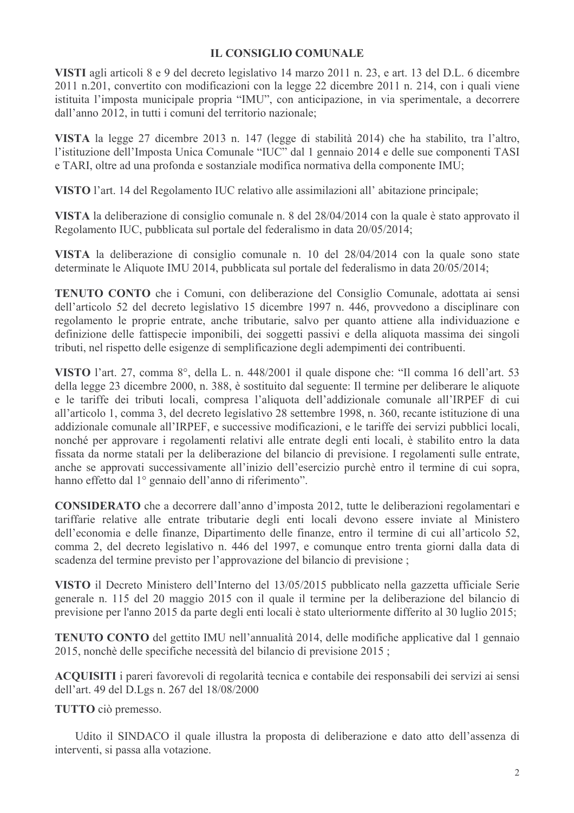## **IL CONSIGLIO COMUNALE**

VISTI agli articoli 8 e 9 del decreto legislativo 14 marzo 2011 n. 23, e art. 13 del D.L. 6 dicembre 2011 n.201, convertito con modificazioni con la legge 22 dicembre 2011 n. 214, con i quali viene istituita l'imposta municipale propria "IMU", con anticipazione, in via sperimentale, a decorrere dall'anno 2012, in tutti i comuni del territorio nazionale:

VISTA la legge 27 dicembre 2013 n. 147 (legge di stabilità 2014) che ha stabilito, tra l'altro, l'istituzione dell'Imposta Unica Comunale "IUC" dal 1 gennaio 2014 e delle sue componenti TASI e TARI, oltre ad una profonda e sostanziale modifica normativa della componente IMU;

VISTO l'art. 14 del Regolamento IUC relativo alle assimilazioni all'abitazione principale;

VISTA la deliberazione di consiglio comunale n. 8 del 28/04/2014 con la quale è stato approvato il Regolamento IUC, pubblicata sul portale del federalismo in data 20/05/2014;

VISTA la deliberazione di consiglio comunale n. 10 del 28/04/2014 con la quale sono state determinate le Aliquote IMU 2014, pubblicata sul portale del federalismo in data 20/05/2014;

**TENUTO CONTO** che i Comuni, con deliberazione del Consiglio Comunale, adottata ai sensi dell'articolo 52 del decreto legislativo 15 dicembre 1997 n. 446, provvedono a disciplinare con regolamento le proprie entrate, anche tributarie, salvo per quanto attiene alla individuazione e definizione delle fattispecie imponibili, dei soggetti passivi e della aliquota massima dei singoli tributi, nel rispetto delle esigenze di semplificazione degli adempimenti dei contribuenti.

VISTO l'art. 27, comma 8°, della L. n. 448/2001 il quale dispone che: "Il comma 16 dell'art. 53 della legge 23 dicembre 2000, n. 388, è sostituito dal seguente: Il termine per deliberare le aliquote e le tariffe dei tributi locali, compresa l'aliquota dell'addizionale comunale all'IRPEF di cui all'articolo 1, comma 3, del decreto legislativo 28 settembre 1998, n. 360, recante istituzione di una addizionale comunale all'IRPEF, e successive modificazioni, e le tariffe dei servizi pubblici locali, nonché per approvare i regolamenti relativi alle entrate degli enti locali, è stabilito entro la data fissata da norme statali per la deliberazione del bilancio di previsione. I regolamenti sulle entrate, anche se approvati successivamente all'inizio dell'esercizio purchè entro il termine di cui sopra, hanno effetto dal 1º gennaio dell'anno di riferimento".

**CONSIDERATO** che a decorrere dall'anno d'imposta 2012, tutte le deliberazioni regolamentari e tariffarie relative alle entrate tributarie degli enti locali devono essere inviate al Ministero dell'economia e delle finanze, Dipartimento delle finanze, entro il termine di cui all'articolo 52, comma 2, del decreto legislativo n. 446 del 1997, e comunque entro trenta giorni dalla data di scadenza del termine previsto per l'approvazione del bilancio di previsione;

VISTO il Decreto Ministero dell'Interno del 13/05/2015 pubblicato nella gazzetta ufficiale Serie generale n. 115 del 20 maggio 2015 con il quale il termine per la deliberazione del bilancio di previsione per l'anno 2015 da parte degli enti locali è stato ulteriormente differito al 30 luglio 2015;

**TENUTO CONTO** del gettito IMU nell'annualità 2014, delle modifiche applicative dal 1 gennaio 2015, nonchè delle specifiche necessità del bilancio di previsione 2015;

ACQUISITI i pareri favorevoli di regolarità tecnica e contabile dei responsabili dei servizi ai sensi dell'art. 49 del D.Lgs n. 267 del 18/08/2000

TUTTO ciò premesso.

Udito il SINDACO il quale illustra la proposta di deliberazione e dato atto dell'assenza di interventi, si passa alla votazione.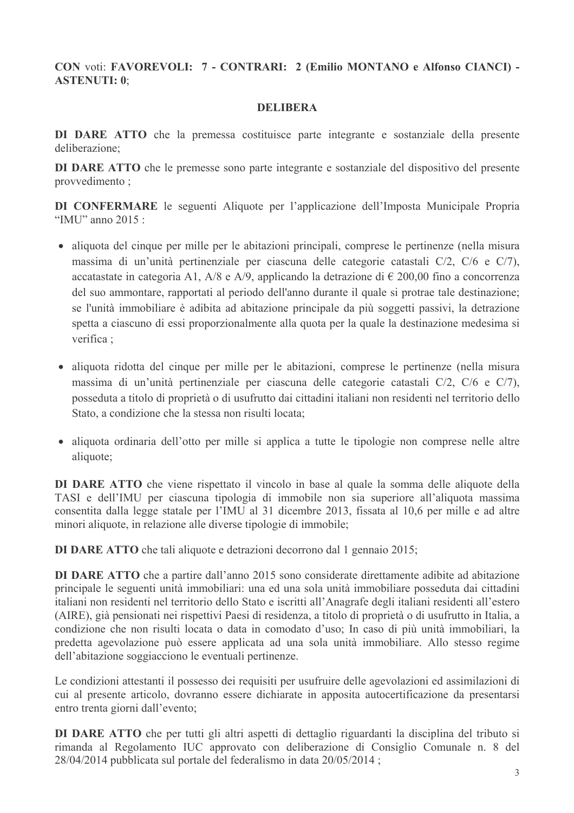CON voti: FAVOREVOLI: 7 - CONTRARI: 2 (Emilio MONTANO e Alfonso CIANCI) -**ASTENUTI: 0:** 

## **DELIBERA**

DI DARE ATTO che la premessa costituisce parte integrante e sostanziale della presente deliberazione;

**DI DARE ATTO** che le premesse sono parte integrante e sostanziale del dispositivo del presente provvedimento;

DI CONFERMARE le seguenti Aliquote per l'applicazione dell'Imposta Municipale Propria "IMU" anno 2015  $\cdot$ 

- aliquota del cinque per mille per le abitazioni principali, comprese le pertinenze (nella misura massima di un'unità pertinenziale per ciascuna delle categorie catastali C/2, C/6 e C/7), accatastate in categoria A1, A/8 e A/9, applicando la detrazione di  $\epsilon$  200,00 fino a concorrenza del suo ammontare, rapportati al periodo dell'anno durante il quale si protrae tale destinazione; se l'unità immobiliare è adibita ad abitazione principale da più soggetti passivi, la detrazione spetta a ciascuno di essi proporzionalmente alla quota per la quale la destinazione medesima si verifica ·
- · aliquota ridotta del cinque per mille per le abitazioni, comprese le pertinenze (nella misura massima di un'unità pertinenziale per ciascuna delle categorie catastali C/2, C/6 e C/7), posseduta a titolo di proprietà o di usufrutto dai cittadini italiani non residenti nel territorio dello Stato, a condizione che la stessa non risulti locata;
- aliquota ordinaria dell'otto per mille si applica a tutte le tipologie non comprese nelle altre aliquote;

DI DARE ATTO che viene rispettato il vincolo in base al quale la somma delle aliquote della TASI e dell'IMU per ciascuna tipologia di immobile non sia superiore all'aliquota massima consentita dalla legge statale per l'IMU al 31 dicembre 2013, fissata al 10,6 per mille e ad altre minori aliquote, in relazione alle diverse tipologie di immobile;

**DI DARE ATTO** che tali aliquote e detrazioni decorrono dal 1 gennaio 2015;

DI DARE ATTO che a partire dall'anno 2015 sono considerate direttamente adibite ad abitazione principale le seguenti unità immobiliari: una ed una sola unità immobiliare posseduta dai cittadini italiani non residenti nel territorio dello Stato e iscritti all'Anagrafe degli italiani residenti all'estero (AIRE), già pensionati nei rispettivi Paesi di residenza, a titolo di proprietà o di usufrutto in Italia, a condizione che non risulti locata o data in comodato d'uso; In caso di più unità immobiliari, la predetta agevolazione può essere applicata ad una sola unità immobiliare. Allo stesso regime dell'abitazione soggiacciono le eventuali pertinenze.

Le condizioni attestanti il possesso dei requisiti per usufruire delle agevolazioni ed assimilazioni di cui al presente articolo, dovranno essere dichiarate in apposita autocertificazione da presentarsi entro trenta giorni dall'evento;

DI DARE ATTO che per tutti gli altri aspetti di dettaglio riguardanti la disciplina del tributo si rimanda al Regolamento IUC approvato con deliberazione di Consiglio Comunale n. 8 del 28/04/2014 pubblicata sul portale del federalismo in data 20/05/2014;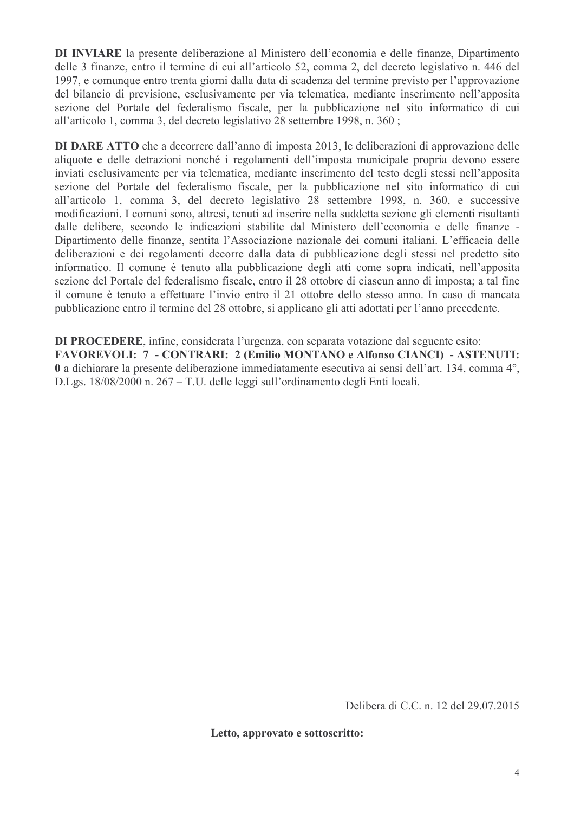DI INVIARE la presente deliberazione al Ministero dell'economia e delle finanze, Dipartimento delle 3 finanze, entro il termine di cui all'articolo 52, comma 2, del decreto legislativo n. 446 del 1997, e comunque entro trenta giorni dalla data di scadenza del termine previsto per l'approvazione del bilancio di previsione, esclusivamente per via telematica, mediante inserimento nell'apposita sezione del Portale del federalismo fiscale, per la pubblicazione nel sito informatico di cui all'articolo 1, comma 3, del decreto legislativo 28 settembre 1998, n. 360;

**DI DARE ATTO** che a decorrere dall'anno di imposta 2013, le deliberazioni di approvazione delle aliquote e delle detrazioni nonché i regolamenti dell'imposta municipale propria devono essere inviati esclusivamente per via telematica, mediante inserimento del testo degli stessi nell'apposita sezione del Portale del federalismo fiscale, per la pubblicazione nel sito informatico di cui all'articolo 1, comma 3, del decreto legislativo 28 settembre 1998, n. 360, e successive modificazioni. I comuni sono, altresì, tenuti ad inserire nella suddetta sezione gli elementi risultanti dalle delibere, secondo le indicazioni stabilite dal Ministero dell'economia e delle finanze -Dipartimento delle finanze, sentita l'Associazione nazionale dei comuni italiani. L'efficacia delle deliberazioni e dei regolamenti decorre dalla data di pubblicazione degli stessi nel predetto sito informatico. Il comune è tenuto alla pubblicazione degli atti come sopra indicati, nell'apposita sezione del Portale del federalismo fiscale, entro il 28 ottobre di ciascun anno di imposta; a tal fine il comune è tenuto a effettuare l'invio entro il 21 ottobre dello stesso anno. In caso di mancata pubblicazione entro il termine del 28 ottobre, si applicano gli atti adottati per l'anno precedente.

**DI PROCEDERE**, infine, considerata l'urgenza, con separata votazione dal seguente esito: **FAVOREVOLI: 7 - CONTRARI: 2 (Emilio MONTANO e Alfonso CIANCI) - ASTENUTI:** 0 a dichiarare la presente deliberazione immediatamente esecutiva ai sensi dell'art. 134, comma 4°, D.Lgs. 18/08/2000 n. 267 – T.U. delle leggi sull'ordinamento degli Enti locali.

Delibera di C.C. n. 12 del 29.07.2015

Letto, approvato e sottoscritto: